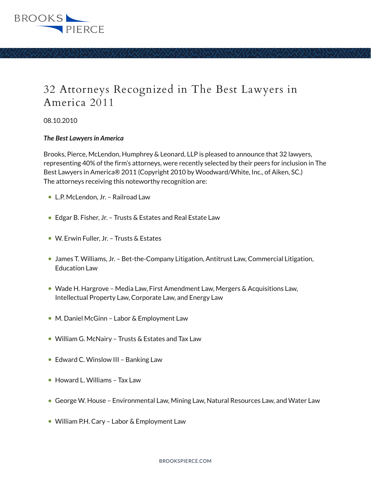

## 32 Attorneys Recognized in The Best Lawyers in America 2011

08.10.2010

## *The Best Lawyers in America*

Brooks, Pierce, McLendon, Humphrey & Leonard, LLP is pleased to announce that 32 lawyers, representing 40% of the firm's attorneys, were recently selected by their peers for inclusion in The Best Lawyers in America® 2011 (Copyright 2010 by Woodward/White, Inc., of Aiken, SC.) The attorneys receiving this noteworthy recognition are:

- L.P. McLendon, Jr. Railroad Law
- Edgar B. Fisher, Jr. Trusts & Estates and Real Estate Law
- W. Erwin Fuller, Jr. Trusts & Estates
- James T. Williams, Jr. Bet-the-Company Litigation, Antitrust Law, Commercial Litigation, Education Law
- Wade H. Hargrove Media Law, First Amendment Law, Mergers & Acquisitions Law, Intellectual Property Law, Corporate Law, and Energy Law
- M. Daniel McGinn Labor & Employment Law
- William G. McNairy Trusts & Estates and Tax Law
- Edward C. Winslow III Banking Law
- Howard L. Williams Tax Law
- George W. House Environmental Law, Mining Law, Natural Resources Law, and Water Law
- William P.H. Cary Labor & Employment Law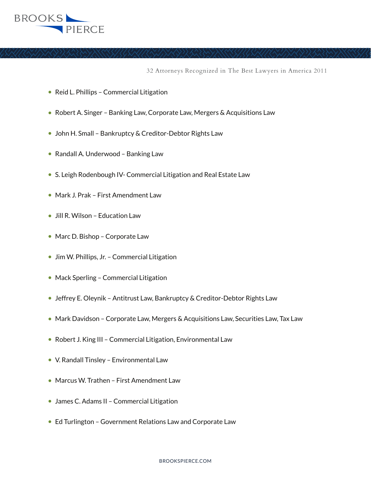

32 Attorneys Recognized in The Best Lawyers in America 2011

- Reid L. Phillips Commercial Litigation
- Robert A. Singer Banking Law, Corporate Law, Mergers & Acquisitions Law
- John H. Small Bankruptcy & Creditor-Debtor Rights Law
- Randall A. Underwood Banking Law
- S. Leigh Rodenbough IV- Commercial Litigation and Real Estate Law
- Mark J. Prak First Amendment Law
- Jill R. Wilson Education Law
- Marc D. Bishop Corporate Law
- Jim W. Phillips, Jr. Commercial Litigation
- Mack Sperling Commercial Litigation
- Jeffrey E. Oleynik Antitrust Law, Bankruptcy & Creditor-Debtor Rights Law
- Mark Davidson Corporate Law, Mergers & Acquisitions Law, Securities Law, Tax Law
- Robert J. King III Commercial Litigation, Environmental Law
- V. Randall Tinsley Environmental Law
- Marcus W. Trathen First Amendment Law
- James C. Adams II Commercial Litigation
- Ed Turlington Government Relations Law and Corporate Law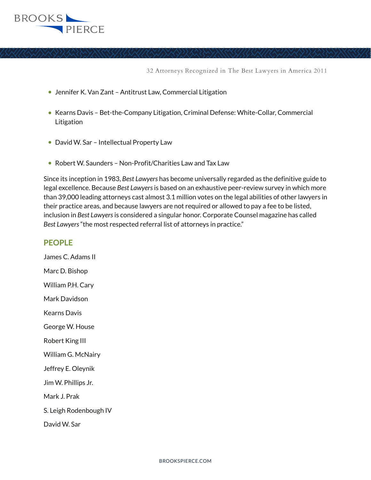

32 Attorneys Recognized in The Best Lawyers in America 2011

- Jennifer K. Van Zant Antitrust Law, Commercial Litigation
- Kearns Davis Bet-the-Company Litigation, Criminal Defense: White-Collar, Commercial Litigation
- David W. Sar Intellectual Property Law
- Robert W. Saunders Non-Profit/Charities Law and Tax Law

Since its inception in 1983, *Best Lawyers* has become universally regarded as the definitive guide to legal excellence. Because *Best Lawyers* is based on an exhaustive peer-review survey in which more than 39,000 leading attorneys cast almost 3.1 million votes on the legal abilities of other lawyers in their practice areas, and because lawyers are not required or allowed to pay a fee to be listed, inclusion in *Best Lawyers* is considered a singular honor. Corporate Counsel magazine has called *Best Lawyers* "the most respected referral list of attorneys in practice."

## **PEOPLE**

James C. Adams II Marc D. Bishop William P.H. Cary Mark Davidson Kearns Davis George W. House Robert King III William G. McNairy Jeffrey E. Oleynik Jim W. Phillips Jr. Mark J. Prak S. Leigh Rodenbough IV David W. Sar